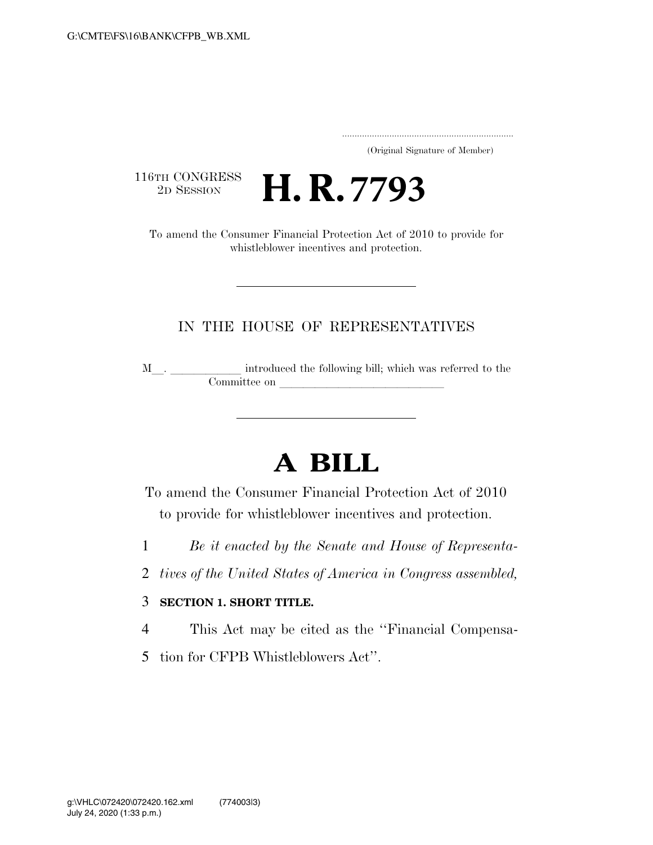..................................................................... (Original Signature of Member)

116TH CONGRESS<br>2D SESSION

2D SESSION **H. R. 7793**

To amend the Consumer Financial Protection Act of 2010 to provide for whistleblower incentives and protection.

## IN THE HOUSE OF REPRESENTATIVES

M\_\_. \_\_\_\_\_\_\_\_\_\_\_ introduced the following bill; which was referred to the Committee on

## **A BILL**

To amend the Consumer Financial Protection Act of 2010 to provide for whistleblower incentives and protection.

- 1 *Be it enacted by the Senate and House of Representa-*
- 2 *tives of the United States of America in Congress assembled,*

## 3 **SECTION 1. SHORT TITLE.**

- 4 This Act may be cited as the ''Financial Compensa-
- 5 tion for CFPB Whistleblowers Act''.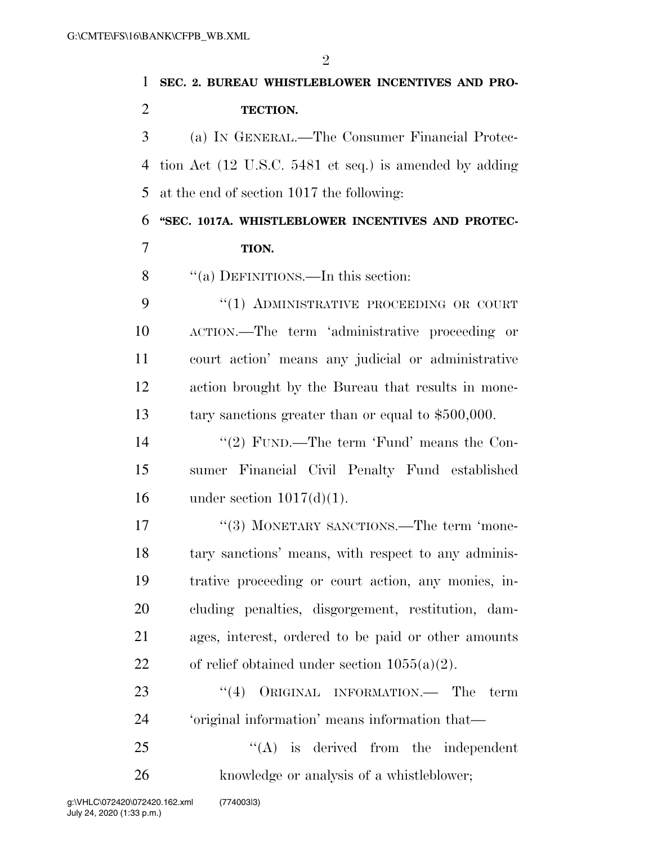| 1              | SEC. 2. BUREAU WHISTLEBLOWER INCENTIVES AND PRO-       |
|----------------|--------------------------------------------------------|
| $\overline{2}$ | TECTION.                                               |
| 3              | (a) IN GENERAL.—The Consumer Financial Protec-         |
| $\overline{4}$ | tion Act (12 U.S.C. 5481 et seq.) is amended by adding |
| 5              | at the end of section 1017 the following:              |
| 6              | "SEC. 1017A. WHISTLEBLOWER INCENTIVES AND PROTEC-      |
| 7              | TION.                                                  |
| 8              | "(a) DEFINITIONS.—In this section:                     |
| 9              | "(1) ADMINISTRATIVE PROCEEDING OR COURT                |
| 10             | ACTION.—The term 'administrative proceeding or         |
| 11             | court action' means any judicial or administrative     |
| 12             | action brought by the Bureau that results in mone-     |
| 13             | tary sanctions greater than or equal to $$500,000$ .   |
| 14             | "(2) FUND.—The term 'Fund' means the Con-              |
| 15             | sumer Financial Civil Penalty Fund established         |
| 16             | under section $1017(d)(1)$ .                           |
| 17             | "(3) MONETARY SANCTIONS.—The term 'mone-               |
| 18             | tary sanctions' means, with respect to any adminis-    |
| 19             | trative proceeding or court action, any monies, in-    |
| <b>20</b>      | cluding penalties, disgorgement, restitution, dam-     |
| 21             | ages, interest, ordered to be paid or other amounts    |
| 22             | of relief obtained under section $1055(a)(2)$ .        |
| 23             | ``(4)<br>ORIGINAL INFORMATION.— The<br>term            |
| 24             | 'original information' means information that-         |
| 25             | $\lq\lq$ is derived from the independent               |
| 26             | knowledge or analysis of a whistleblower;              |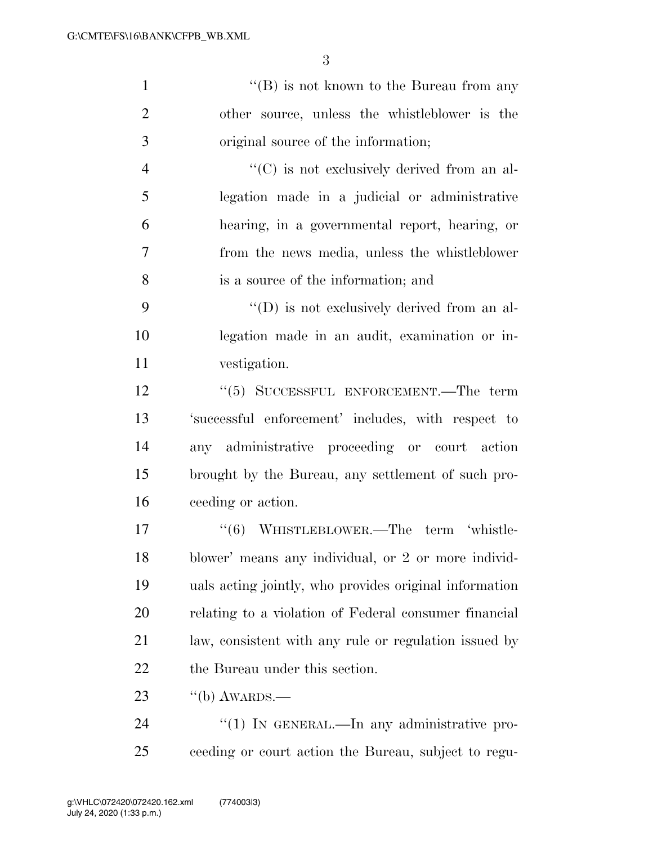1 ''(B) is not known to the Bureau from any other source, unless the whistleblower is the original source of the information;  $"({\rm C})$  is not exclusively derived from an al- legation made in a judicial or administrative hearing, in a governmental report, hearing, or from the news media, unless the whistleblower

is a source of the information; and

9 ''(D) is not exclusively derived from an al- legation made in an audit, examination or in-vestigation.

12 ''(5) SUCCESSFUL ENFORCEMENT.—The term 'successful enforcement' includes, with respect to any administrative proceeding or court action brought by the Bureau, any settlement of such pro-ceeding or action.

17 "(6) WHISTLEBLOWER.—The term 'whistle- blower' means any individual, or 2 or more individ- uals acting jointly, who provides original information relating to a violation of Federal consumer financial law, consistent with any rule or regulation issued by the Bureau under this section.

23  $\frac{1}{10}$   $\frac{1}{2}$   $\frac{1}{2}$   $\frac{1}{2}$   $\frac{1}{2}$   $\frac{1}{2}$   $\frac{1}{2}$   $\frac{1}{2}$   $\frac{1}{2}$   $\frac{1}{2}$   $\frac{1}{2}$   $\frac{1}{2}$   $\frac{1}{2}$   $\frac{1}{2}$   $\frac{1}{2}$   $\frac{1}{2}$   $\frac{1}{2}$   $\frac{1}{2}$   $\frac{1}{2}$   $\frac{1}{2}$   $\frac{1}{2}$   $\frac{1}{2$ 

24 "(1) IN GENERAL.—In any administrative pro-ceeding or court action the Bureau, subject to regu-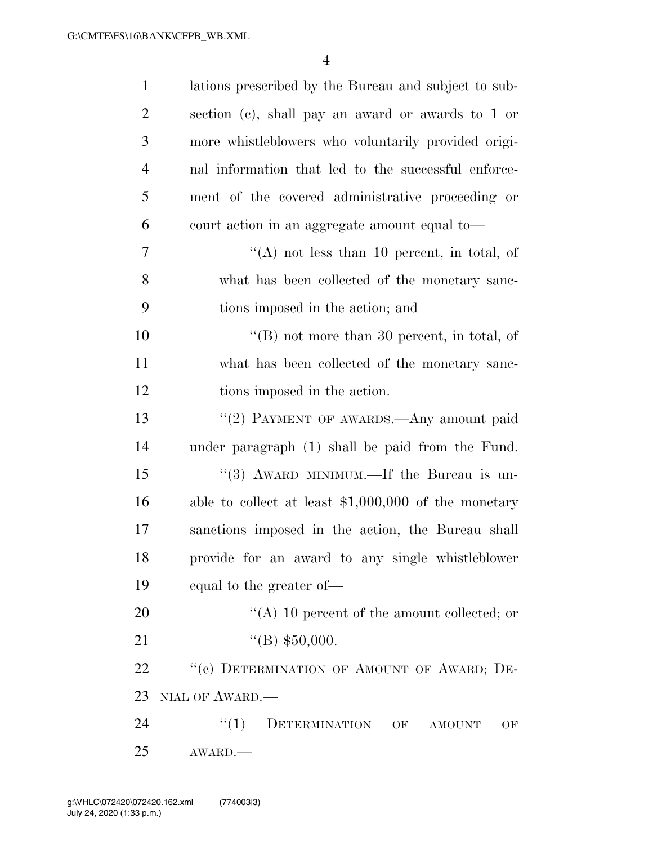| $\mathbf{1}$   | lations prescribed by the Bureau and subject to sub-  |
|----------------|-------------------------------------------------------|
| $\overline{2}$ | section (c), shall pay an award or awards to 1 or     |
| 3              | more whistleblowers who voluntarily provided origi-   |
| $\overline{4}$ | nal information that led to the successful enforce-   |
| 5              | ment of the covered administrative proceeding or      |
| 6              | court action in an aggregate amount equal to-         |
| 7              | "(A) not less than 10 percent, in total, of           |
| 8              | what has been collected of the monetary sanc-         |
| 9              | tions imposed in the action; and                      |
| 10             | $\lq\lq (B)$ not more than 30 percent, in total, of   |
| 11             | what has been collected of the monetary sanc-         |
| 12             | tions imposed in the action.                          |
| 13             | "(2) PAYMENT OF AWARDS.—Any amount paid               |
| 14             | under paragraph (1) shall be paid from the Fund.      |
| 15             | "(3) AWARD MINIMUM.—If the Bureau is un-              |
| 16             | able to collect at least $$1,000,000$ of the monetary |
| $17\,$         | sanctions imposed in the action, the Bureau shall     |
| 18             | provide for an award to any single whistleblower      |
| 19             | equal to the greater of—                              |
| 20             | "(A) 10 percent of the amount collected; or           |
| 21             | "(B) $$50,000$ .                                      |
| 22             | "(c) DETERMINATION OF AMOUNT OF AWARD; DE-            |
| 23             | NIAL OF AWARD.                                        |
| 24             | DETERMINATION<br>``(1)<br>OF<br><b>AMOUNT</b><br>OF   |
| 25             | AWARD.                                                |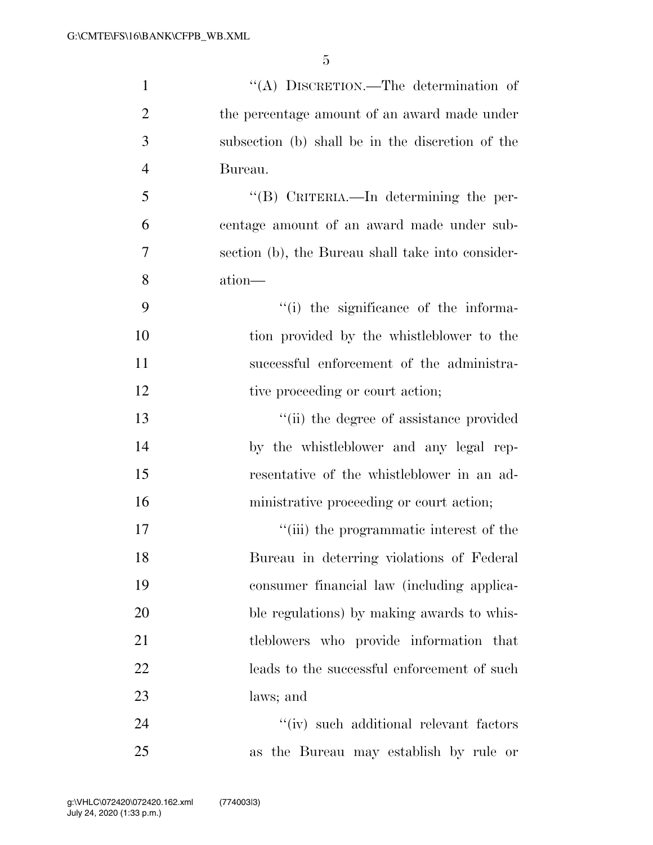| $\mathbf{1}$   | "(A) DISCRETION.—The determination of             |
|----------------|---------------------------------------------------|
| $\overline{2}$ | the percentage amount of an award made under      |
| 3              | subsection (b) shall be in the discretion of the  |
| $\overline{4}$ | Bureau.                                           |
| 5              | "(B) CRITERIA.—In determining the per-            |
| 6              | centage amount of an award made under sub-        |
| 7              | section (b), the Bureau shall take into consider- |
| 8              | ation—                                            |
| 9              | "(i) the significance of the informa-             |
| 10             | tion provided by the whistleblower to the         |
| 11             | successful enforcement of the administra-         |
| 12             | tive proceeding or court action;                  |
| 13             | "(ii) the degree of assistance provided           |
| 14             | by the whistleblower and any legal rep-           |
| 15             | resentative of the whistleblower in an ad-        |
| 16             | ministrative proceeding or court action;          |
| 17             | "(iii) the programmatic interest of the           |
| 18             | Bureau in deterring violations of Federal         |
| 19             | consumer financial law (including applica-        |
| 20             | ble regulations) by making awards to whis-        |
| 21             | tleblowers who provide information that           |
| 22             | leads to the successful enforcement of such       |
| 23             | laws; and                                         |
| 24             | "(iv) such additional relevant factors            |
| 25             | as the Bureau may establish by rule or            |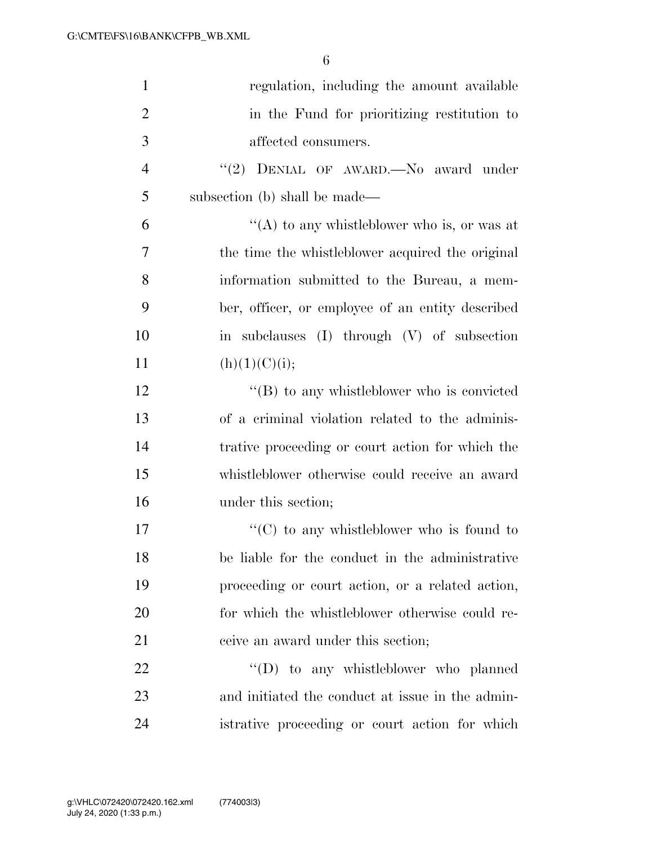| $\mathbf{1}$   | regulation, including the amount available         |
|----------------|----------------------------------------------------|
| $\overline{2}$ | in the Fund for prioritizing restitution to        |
| 3              | affected consumers.                                |
| $\overline{4}$ | "(2) DENIAL OF AWARD. No award under               |
| 5              | subsection (b) shall be made—                      |
| 6              | "(A) to any whistleblower who is, or was at        |
| $\overline{7}$ | the time the whistleblower acquired the original   |
| 8              | information submitted to the Bureau, a mem-        |
| 9              | ber, officer, or employee of an entity described   |
| 10             | in subclauses (I) through (V) of subsection        |
| 11             | (h)(1)(C)(i);                                      |
| 12             | $\lq\lq (B)$ to any whistleblower who is convicted |
| 13             | of a criminal violation related to the adminis-    |
| 14             | trative proceeding or court action for which the   |
| 15             | whistleblower otherwise could receive an award     |
| 16             | under this section;                                |
| 17             | $\lq\lq$ (C) to any whistleblower who is found to  |
| 18             | be liable for the conduct in the administrative    |
| 19             | proceeding or court action, or a related action,   |
| 20             | for which the whistleblower otherwise could re-    |
| 21             | ceive an award under this section;                 |
| 22             | $\lq\lq$ to any whistleblower who planned          |
| 23             | and initiated the conduct at issue in the admin-   |
| 24             | istrative proceeding or court action for which     |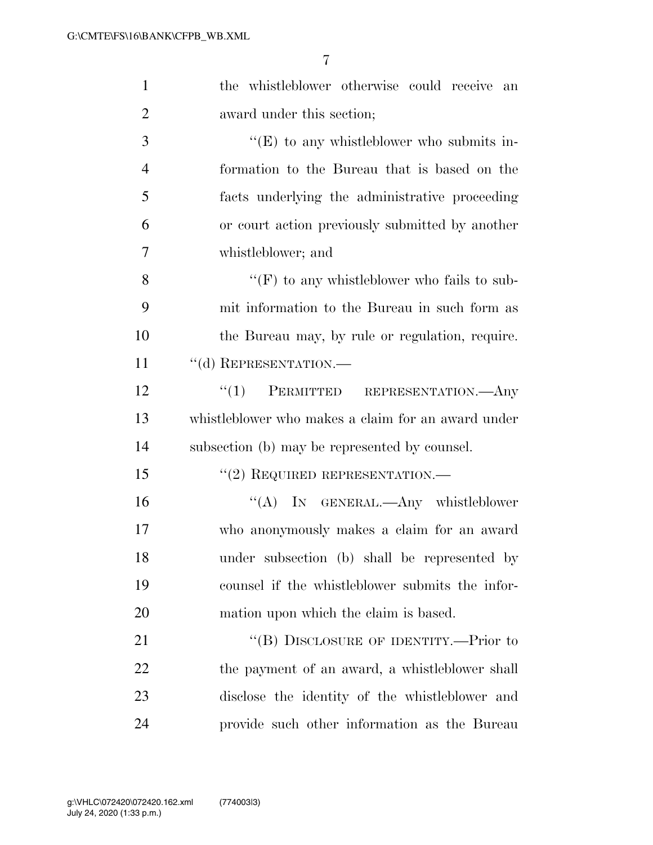| $\mathbf{1}$   | the whistleblower otherwise could receive an       |
|----------------|----------------------------------------------------|
| $\overline{2}$ | award under this section;                          |
| 3              | $\lq\lq(E)$ to any whistleblower who submits in-   |
| $\overline{4}$ | formation to the Bureau that is based on the       |
| 5              | facts underlying the administrative proceeding     |
| 6              | or court action previously submitted by another    |
| 7              | whistleblower; and                                 |
| 8              | "(F) to any whistleblower who fails to sub-        |
| 9              | mit information to the Bureau in such form as      |
| 10             | the Bureau may, by rule or regulation, require.    |
| 11             | "(d) REPRESENTATION.-                              |
| 12             | $\cdot\cdot\cdot(1)$ PERMITTED REPRESENTATION.—Any |
| 13             | whistleblower who makes a claim for an award under |
| 14             | subsection (b) may be represented by counsel.      |
| 15             | $"(2)$ REQUIRED REPRESENTATION.—                   |
| 16             | "(A) IN GENERAL.—Any whistleblower                 |
| 17             | who anonymously makes a claim for an award         |
| 18             | under subsection (b) shall be represented by       |
| 19             | counsel if the whistleblower submits the infor-    |
| 20             | mation upon which the claim is based.              |
| 21             | "(B) DISCLOSURE OF IDENTITY.—Prior to              |
| 22             | the payment of an award, a whistleblower shall     |
| 23             | disclose the identity of the whistleblower and     |
| 24             | provide such other information as the Bureau       |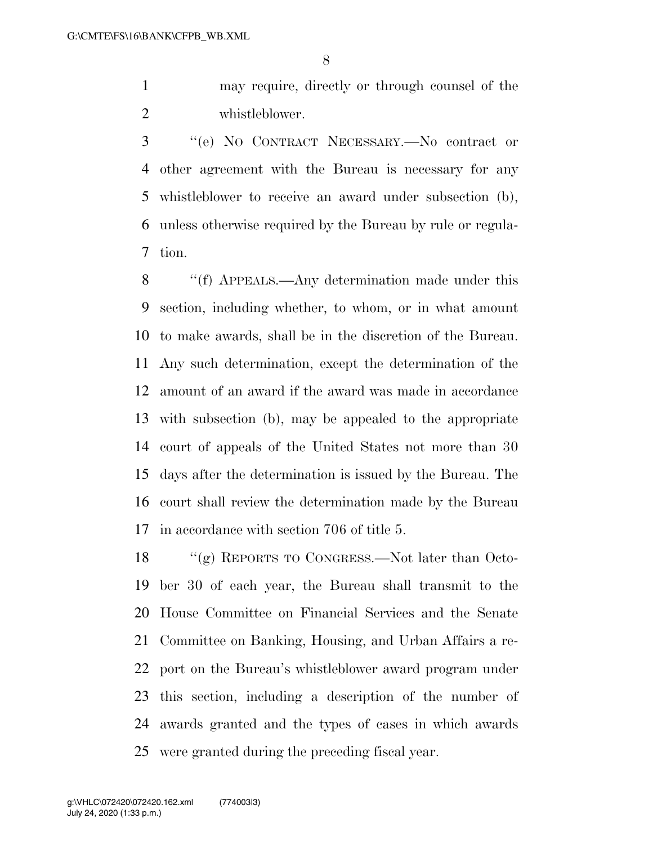may require, directly or through counsel of the whistleblower.

 ''(e) NO CONTRACT NECESSARY.—No contract or other agreement with the Bureau is necessary for any whistleblower to receive an award under subsection (b), unless otherwise required by the Bureau by rule or regula-tion.

 ''(f) APPEALS.—Any determination made under this section, including whether, to whom, or in what amount to make awards, shall be in the discretion of the Bureau. Any such determination, except the determination of the amount of an award if the award was made in accordance with subsection (b), may be appealed to the appropriate court of appeals of the United States not more than 30 days after the determination is issued by the Bureau. The court shall review the determination made by the Bureau in accordance with section 706 of title 5.

 ''(g) REPORTS TO CONGRESS.—Not later than Octo- ber 30 of each year, the Bureau shall transmit to the House Committee on Financial Services and the Senate Committee on Banking, Housing, and Urban Affairs a re- port on the Bureau's whistleblower award program under this section, including a description of the number of awards granted and the types of cases in which awards were granted during the preceding fiscal year.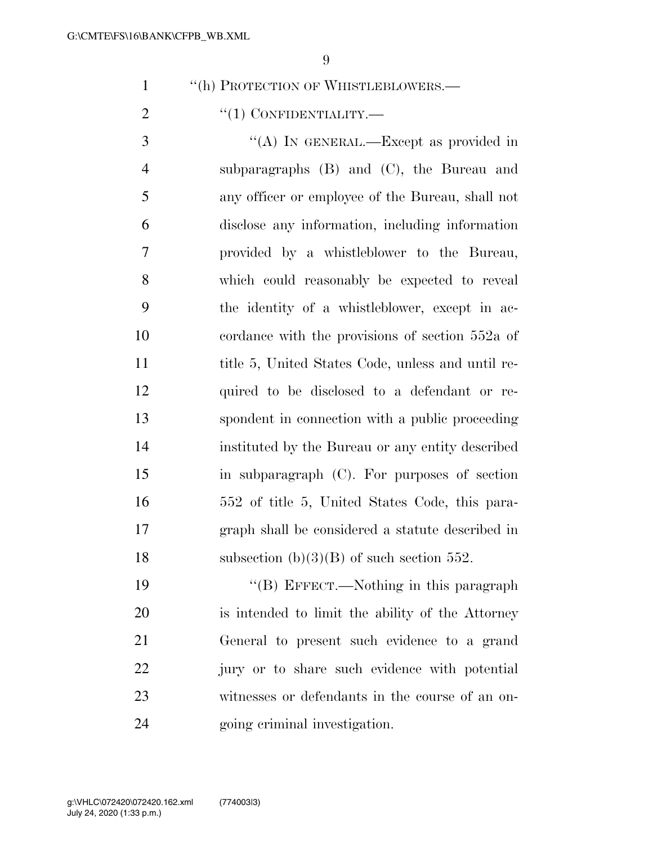1 "(h) PROTECTION OF WHISTLEBLOWERS.—

2  $\text{``(1) CONFIDENTIALITY.}$ 

3 "(A) IN GENERAL.—Except as provided in subparagraphs (B) and (C), the Bureau and any officer or employee of the Bureau, shall not disclose any information, including information provided by a whistleblower to the Bureau, which could reasonably be expected to reveal the identity of a whistleblower, except in ac- cordance with the provisions of section 552a of title 5, United States Code, unless and until re- quired to be disclosed to a defendant or re- spondent in connection with a public proceeding instituted by the Bureau or any entity described in subparagraph (C). For purposes of section 552 of title 5, United States Code, this para- graph shall be considered a statute described in 18 subsection  $(b)(3)(B)$  of such section 552.

19 "'(B) EFFECT.—Nothing in this paragraph is intended to limit the ability of the Attorney General to present such evidence to a grand jury or to share such evidence with potential witnesses or defendants in the course of an on-going criminal investigation.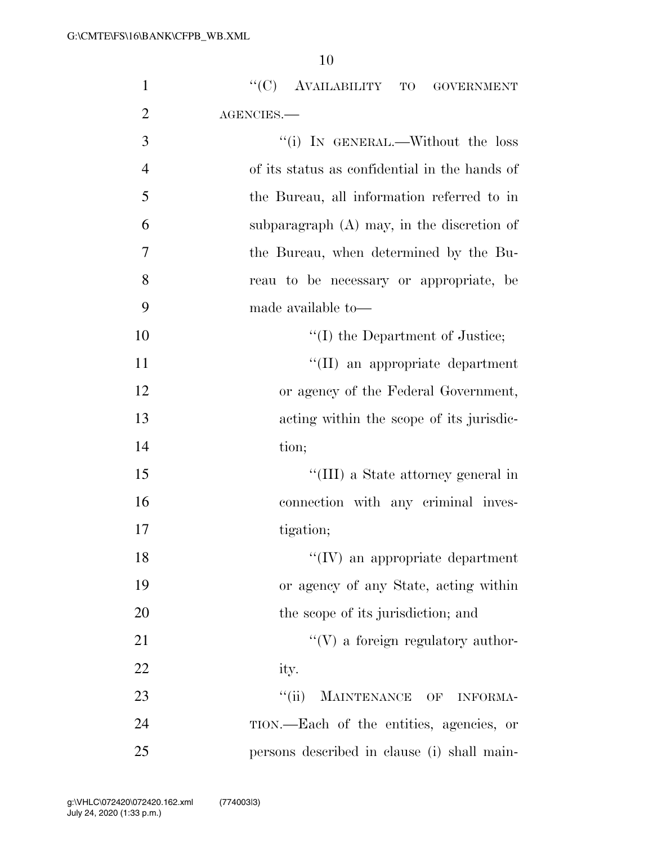| $\mathbf{1}$   | "(C) AVAILABILITY TO<br><b>GOVERNMENT</b>     |
|----------------|-----------------------------------------------|
| $\overline{2}$ | AGENCIES.-                                    |
| 3              | "(i) IN GENERAL.—Without the loss             |
| $\overline{4}$ | of its status as confidential in the hands of |
| 5              | the Bureau, all information referred to in    |
| 6              | subparagraph $(A)$ may, in the discretion of  |
| 7              | the Bureau, when determined by the Bu-        |
| 8              | reau to be necessary or appropriate, be       |
| 9              | made available to-                            |
| 10             | $\lq\lq$ the Department of Justice;           |
| 11             | "(II) an appropriate department               |
| 12             | or agency of the Federal Government,          |
| 13             | acting within the scope of its jurisdic-      |
| 14             | tion;                                         |
| 15             | "(III) a State attorney general in            |
| 16             | connection with any criminal inves-           |
| 17             | tigation;                                     |
| 18             | $\lq\lq$ (IV) an appropriate department       |
| 19             | or agency of any State, acting within         |
| 20             | the scope of its jurisdiction; and            |
| 21             | $\lq\lq(V)$ a foreign regulatory author-      |
| 22             | ity.                                          |
| 23             | ``(ii)<br>MAINTENANCE OF<br><b>INFORMA-</b>   |
| 24             | TION.—Each of the entities, agencies, or      |
| 25             | persons described in clause (i) shall main-   |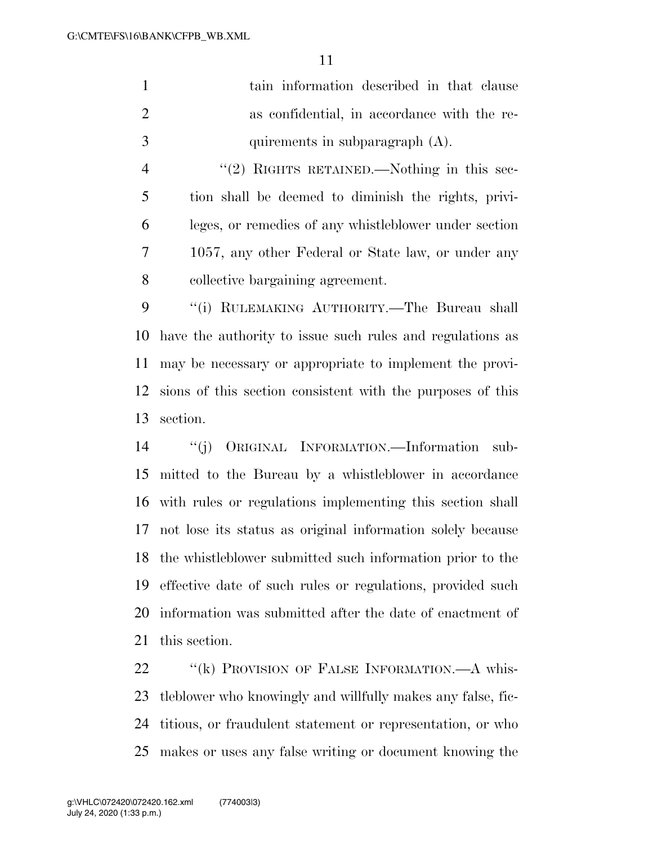|               | tain information described in that clause   |
|---------------|---------------------------------------------|
|               | as confidential, in accordance with the re- |
| $\mathcal{R}$ | quirements in subparagraph $(A)$ .          |

4 "(2) RIGHTS RETAINED.—Nothing in this sec- tion shall be deemed to diminish the rights, privi- leges, or remedies of any whistleblower under section 1057, any other Federal or State law, or under any collective bargaining agreement.

 ''(i) RULEMAKING AUTHORITY.—The Bureau shall have the authority to issue such rules and regulations as may be necessary or appropriate to implement the provi- sions of this section consistent with the purposes of this section.

 ''(j) ORIGINAL INFORMATION.—Information sub- mitted to the Bureau by a whistleblower in accordance with rules or regulations implementing this section shall not lose its status as original information solely because the whistleblower submitted such information prior to the effective date of such rules or regulations, provided such information was submitted after the date of enactment of this section.

22 "(k) PROVISION OF FALSE INFORMATION.—A whis- tleblower who knowingly and willfully makes any false, fic- titious, or fraudulent statement or representation, or who makes or uses any false writing or document knowing the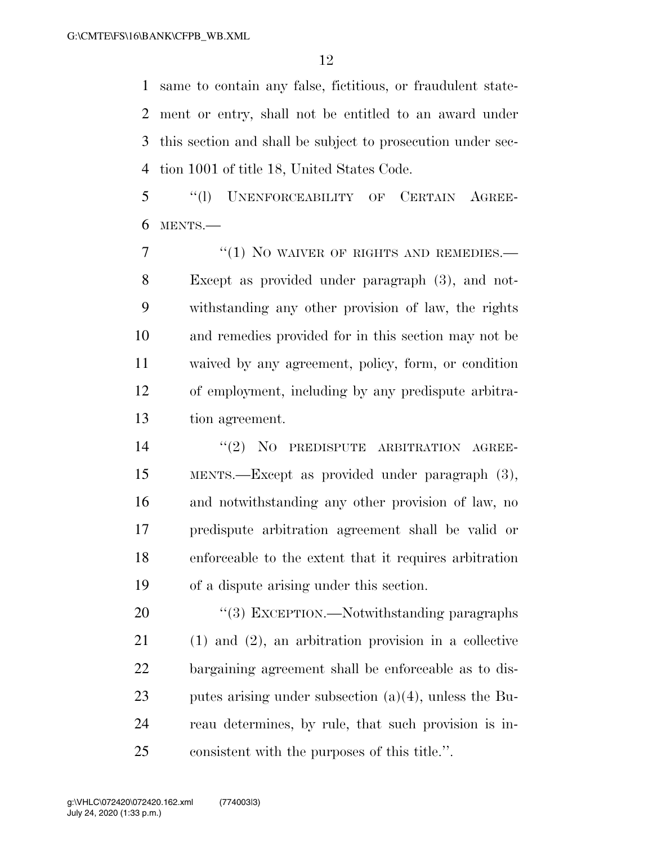same to contain any false, fictitious, or fraudulent state- ment or entry, shall not be entitled to an award under this section and shall be subject to prosecution under sec-tion 1001 of title 18, United States Code.

 ''(l) UNENFORCEABILITY OF CERTAIN AGREE-MENTS.—

7 "(1) NO WAIVER OF RIGHTS AND REMEDIES.— Except as provided under paragraph (3), and not- withstanding any other provision of law, the rights and remedies provided for in this section may not be waived by any agreement, policy, form, or condition of employment, including by any predispute arbitra-tion agreement.

14 "(2) NO PREDISPUTE ARBITRATION AGREE- MENTS.—Except as provided under paragraph (3), and notwithstanding any other provision of law, no predispute arbitration agreement shall be valid or enforceable to the extent that it requires arbitration of a dispute arising under this section.

20 "(3) EXCEPTION.—Notwithstanding paragraphs (1) and (2), an arbitration provision in a collective bargaining agreement shall be enforceable as to dis- putes arising under subsection (a)(4), unless the Bu- reau determines, by rule, that such provision is in-consistent with the purposes of this title.''.